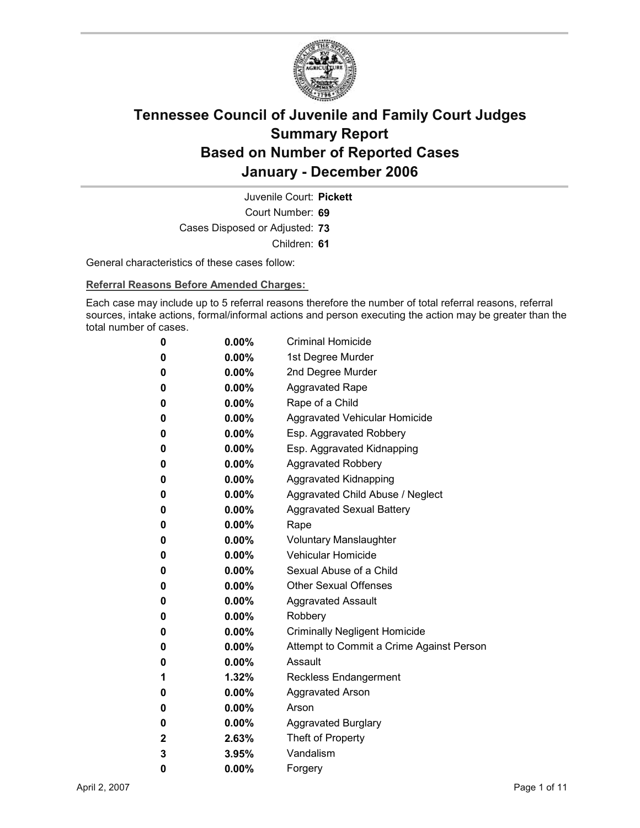

Court Number: **69** Juvenile Court: **Pickett** Cases Disposed or Adjusted: **73** Children: **61**

General characteristics of these cases follow:

**Referral Reasons Before Amended Charges:** 

Each case may include up to 5 referral reasons therefore the number of total referral reasons, referral sources, intake actions, formal/informal actions and person executing the action may be greater than the total number of cases.

| 0 | 0.00%    | <b>Criminal Homicide</b>                 |
|---|----------|------------------------------------------|
| 0 | $0.00\%$ | 1st Degree Murder                        |
| 0 | $0.00\%$ | 2nd Degree Murder                        |
| 0 | $0.00\%$ | <b>Aggravated Rape</b>                   |
| 0 | 0.00%    | Rape of a Child                          |
| 0 | $0.00\%$ | <b>Aggravated Vehicular Homicide</b>     |
| 0 | $0.00\%$ | Esp. Aggravated Robbery                  |
| 0 | $0.00\%$ | Esp. Aggravated Kidnapping               |
| 0 | $0.00\%$ | <b>Aggravated Robbery</b>                |
| 0 | $0.00\%$ | <b>Aggravated Kidnapping</b>             |
| 0 | $0.00\%$ | Aggravated Child Abuse / Neglect         |
| 0 | 0.00%    | <b>Aggravated Sexual Battery</b>         |
| 0 | 0.00%    | Rape                                     |
| 0 | $0.00\%$ | <b>Voluntary Manslaughter</b>            |
| 0 | $0.00\%$ | <b>Vehicular Homicide</b>                |
| 0 | 0.00%    | Sexual Abuse of a Child                  |
| 0 | $0.00\%$ | <b>Other Sexual Offenses</b>             |
| 0 | $0.00\%$ | <b>Aggravated Assault</b>                |
| 0 | $0.00\%$ | Robbery                                  |
| 0 | 0.00%    | <b>Criminally Negligent Homicide</b>     |
| 0 | 0.00%    | Attempt to Commit a Crime Against Person |
| 0 | $0.00\%$ | Assault                                  |
| 1 | 1.32%    | <b>Reckless Endangerment</b>             |
| 0 | $0.00\%$ | <b>Aggravated Arson</b>                  |
| 0 | $0.00\%$ | Arson                                    |
| 0 | $0.00\%$ | <b>Aggravated Burglary</b>               |
| 2 | 2.63%    | Theft of Property                        |
| 3 | 3.95%    | Vandalism                                |
| 0 | 0.00%    | Forgery                                  |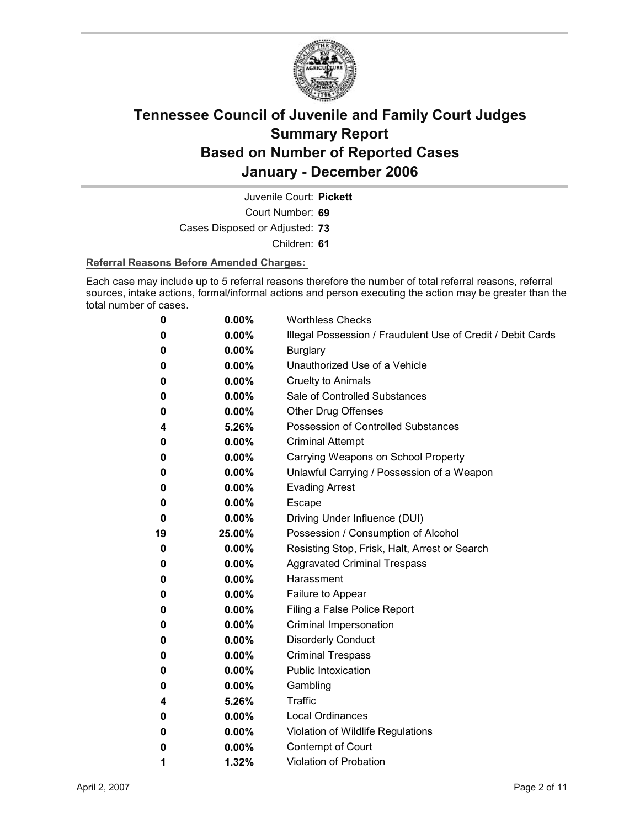

Juvenile Court: **Pickett**

Court Number: **69**

Cases Disposed or Adjusted: **73**

Children: **61**

#### **Referral Reasons Before Amended Charges:**

Each case may include up to 5 referral reasons therefore the number of total referral reasons, referral sources, intake actions, formal/informal actions and person executing the action may be greater than the total number of cases.

| 0  | 0.00%    | <b>Worthless Checks</b>                                     |
|----|----------|-------------------------------------------------------------|
| 0  | 0.00%    | Illegal Possession / Fraudulent Use of Credit / Debit Cards |
| 0  | 0.00%    | <b>Burglary</b>                                             |
| 0  | $0.00\%$ | Unauthorized Use of a Vehicle                               |
| 0  | $0.00\%$ | <b>Cruelty to Animals</b>                                   |
| 0  | $0.00\%$ | Sale of Controlled Substances                               |
| 0  | $0.00\%$ | <b>Other Drug Offenses</b>                                  |
| 4  | 5.26%    | Possession of Controlled Substances                         |
| 0  | 0.00%    | <b>Criminal Attempt</b>                                     |
| 0  | $0.00\%$ | Carrying Weapons on School Property                         |
| 0  | $0.00\%$ | Unlawful Carrying / Possession of a Weapon                  |
| 0  | 0.00%    | <b>Evading Arrest</b>                                       |
| 0  | $0.00\%$ | Escape                                                      |
| 0  | $0.00\%$ | Driving Under Influence (DUI)                               |
| 19 | 25.00%   | Possession / Consumption of Alcohol                         |
| 0  | $0.00\%$ | Resisting Stop, Frisk, Halt, Arrest or Search               |
| 0  | $0.00\%$ | <b>Aggravated Criminal Trespass</b>                         |
| 0  | $0.00\%$ | Harassment                                                  |
| 0  | $0.00\%$ | Failure to Appear                                           |
| 0  | $0.00\%$ | Filing a False Police Report                                |
| 0  | 0.00%    | Criminal Impersonation                                      |
| 0  | $0.00\%$ | <b>Disorderly Conduct</b>                                   |
| 0  | 0.00%    | <b>Criminal Trespass</b>                                    |
| 0  | $0.00\%$ | <b>Public Intoxication</b>                                  |
| 0  | $0.00\%$ | Gambling                                                    |
| 4  | 5.26%    | <b>Traffic</b>                                              |
| 0  | $0.00\%$ | <b>Local Ordinances</b>                                     |
| 0  | $0.00\%$ | Violation of Wildlife Regulations                           |
| 0  | $0.00\%$ | Contempt of Court                                           |
| 1  | 1.32%    | <b>Violation of Probation</b>                               |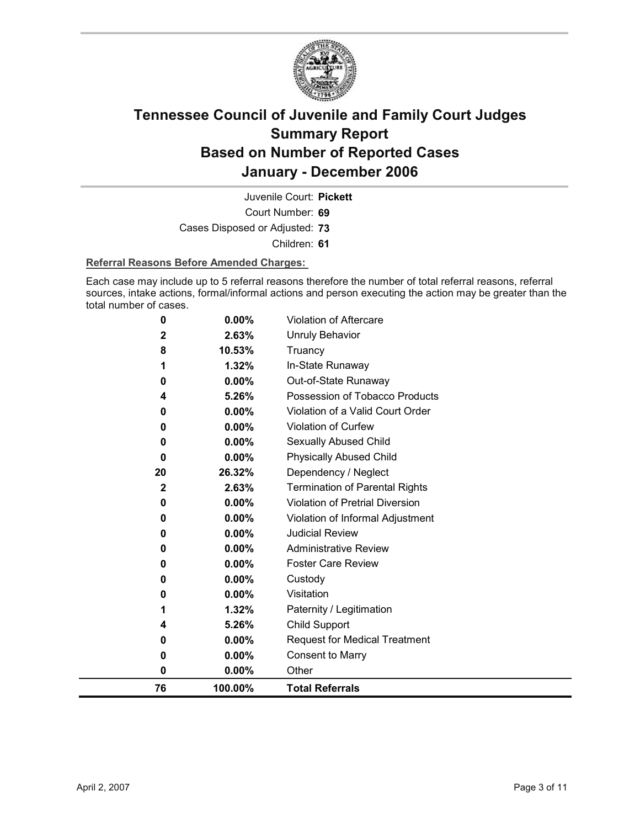

Court Number: **69** Juvenile Court: **Pickett**

Cases Disposed or Adjusted: **73**

Children: **61**

#### **Referral Reasons Before Amended Charges:**

Each case may include up to 5 referral reasons therefore the number of total referral reasons, referral sources, intake actions, formal/informal actions and person executing the action may be greater than the total number of cases.

| 76                      | 100.00%  | <b>Total Referrals</b>                 |
|-------------------------|----------|----------------------------------------|
| 0                       | 0.00%    | Other                                  |
| 0                       | 0.00%    | <b>Consent to Marry</b>                |
| 0                       | 0.00%    | <b>Request for Medical Treatment</b>   |
| 4                       | 5.26%    | <b>Child Support</b>                   |
| 1                       | 1.32%    | Paternity / Legitimation               |
| 0                       | $0.00\%$ | Visitation                             |
| 0                       | 0.00%    | Custody                                |
| 0                       | $0.00\%$ | <b>Foster Care Review</b>              |
| 0                       | 0.00%    | <b>Administrative Review</b>           |
| 0                       | 0.00%    | <b>Judicial Review</b>                 |
| 0                       | 0.00%    | Violation of Informal Adjustment       |
| 0                       | 0.00%    | <b>Violation of Pretrial Diversion</b> |
| $\overline{\mathbf{2}}$ | 2.63%    | <b>Termination of Parental Rights</b>  |
| 20                      | 26.32%   | Dependency / Neglect                   |
| 0                       | $0.00\%$ | <b>Physically Abused Child</b>         |
| 0                       | 0.00%    | Sexually Abused Child                  |
| 0                       | 0.00%    | Violation of Curfew                    |
| 0                       | 0.00%    | Violation of a Valid Court Order       |
| 4                       | 5.26%    | Possession of Tobacco Products         |
| 0                       | 0.00%    | Out-of-State Runaway                   |
| 1                       | 1.32%    | In-State Runaway                       |
| 8                       | 10.53%   | Truancy                                |
| 2                       | 2.63%    | <b>Unruly Behavior</b>                 |
| 0                       | 0.00%    | Violation of Aftercare                 |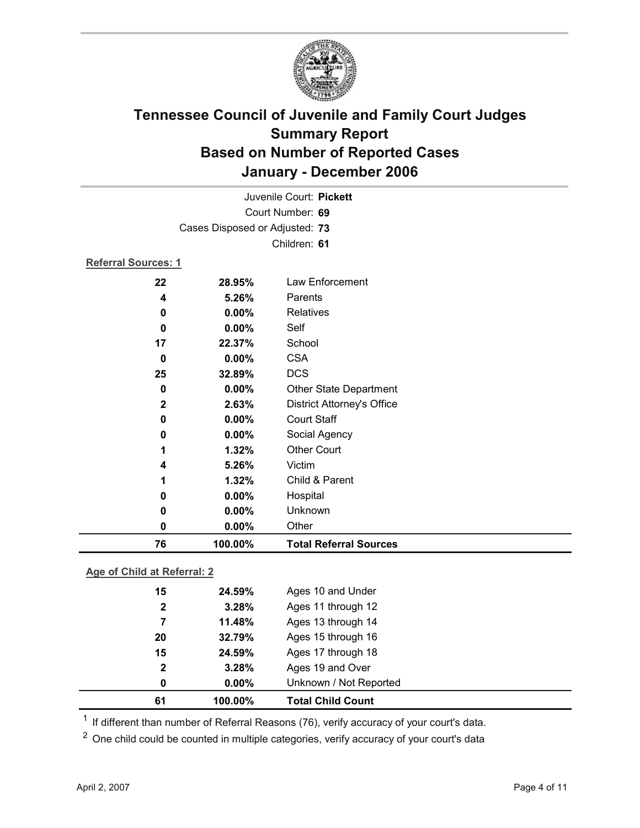

| 76                             | 100.00%          | <b>Total Referral Sources</b>     |  |  |
|--------------------------------|------------------|-----------------------------------|--|--|
| 0                              | 0.00%            | Other                             |  |  |
| 0                              | 0.00%            | Unknown                           |  |  |
| 0                              | $0.00\%$         | Hospital                          |  |  |
| 1                              | 1.32%            | Child & Parent                    |  |  |
| 4                              | 5.26%            | Victim                            |  |  |
| 1                              | 1.32%            | <b>Other Court</b>                |  |  |
| 0                              | 0.00%            | Social Agency                     |  |  |
| 0                              | 0.00%            | <b>Court Staff</b>                |  |  |
| $\mathbf 2$                    | 2.63%            | <b>District Attorney's Office</b> |  |  |
| 0                              | 0.00%            | <b>Other State Department</b>     |  |  |
| 25                             | 32.89%           | <b>DCS</b>                        |  |  |
| $\bf{0}$                       | 0.00%            | <b>CSA</b>                        |  |  |
| 17                             | 22.37%           | School                            |  |  |
| 0                              | 0.00%            | Self                              |  |  |
| 0                              | 0.00%            | Relatives                         |  |  |
| 4                              | 5.26%            | Parents                           |  |  |
| 22                             | 28.95%           | Law Enforcement                   |  |  |
| <b>Referral Sources: 1</b>     |                  |                                   |  |  |
|                                |                  | Children: 61                      |  |  |
| Cases Disposed or Adjusted: 73 |                  |                                   |  |  |
|                                |                  |                                   |  |  |
|                                | Court Number: 69 |                                   |  |  |
| Juvenile Court: Pickett        |                  |                                   |  |  |

### **Age of Child at Referral: 2**

| 61           | 100.00%  | <b>Total Child Count</b> |  |
|--------------|----------|--------------------------|--|
| 0            | $0.00\%$ | Unknown / Not Reported   |  |
| $\mathbf{2}$ | 3.28%    | Ages 19 and Over         |  |
| 15           | 24.59%   | Ages 17 through 18       |  |
| 20           | 32.79%   | Ages 15 through 16       |  |
| 7            | 11.48%   | Ages 13 through 14       |  |
| $\mathbf{2}$ | 3.28%    | Ages 11 through 12       |  |
| 15           | 24.59%   | Ages 10 and Under        |  |
|              |          |                          |  |

 $1$  If different than number of Referral Reasons (76), verify accuracy of your court's data.

<sup>2</sup> One child could be counted in multiple categories, verify accuracy of your court's data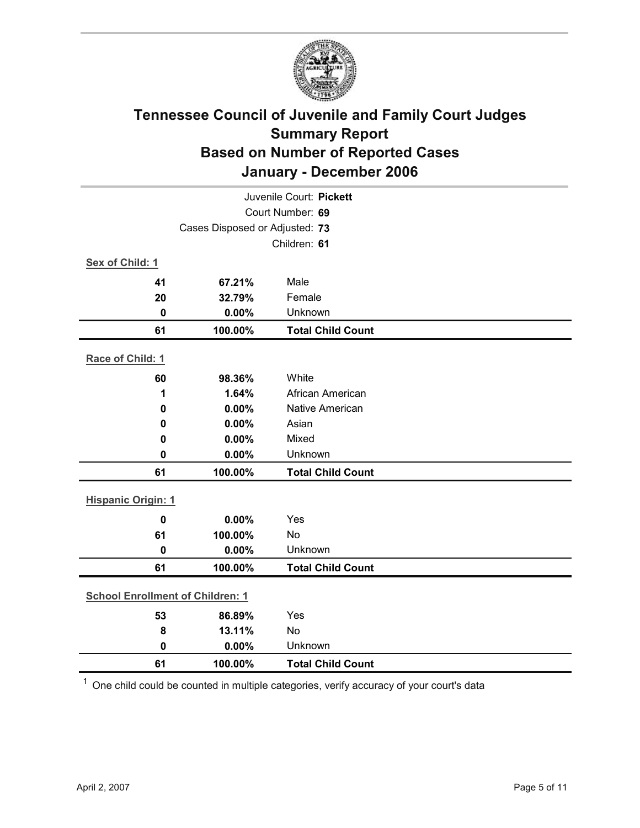

| Juvenile Court: Pickett                 |         |                          |  |
|-----------------------------------------|---------|--------------------------|--|
| Court Number: 69                        |         |                          |  |
| Cases Disposed or Adjusted: 73          |         |                          |  |
|                                         |         | Children: 61             |  |
| Sex of Child: 1                         |         |                          |  |
| 41                                      | 67.21%  | Male                     |  |
| 20                                      | 32.79%  | Female                   |  |
| $\mathbf 0$                             | 0.00%   | Unknown                  |  |
| 61                                      | 100.00% | <b>Total Child Count</b> |  |
| Race of Child: 1                        |         |                          |  |
| 60                                      | 98.36%  | White                    |  |
| 1                                       | 1.64%   | African American         |  |
| 0.00%<br>$\mathbf 0$<br>0.00%<br>0      |         | Native American          |  |
|                                         |         | Asian                    |  |
| $\mathbf 0$                             | 0.00%   | Mixed                    |  |
| 0                                       | 0.00%   | Unknown                  |  |
| 61                                      | 100.00% | <b>Total Child Count</b> |  |
| <b>Hispanic Origin: 1</b>               |         |                          |  |
| $\mathbf 0$                             | 0.00%   | Yes                      |  |
| 61                                      | 100.00% | <b>No</b>                |  |
| $\mathbf 0$                             | 0.00%   | Unknown                  |  |
| 61                                      | 100.00% | <b>Total Child Count</b> |  |
| <b>School Enrollment of Children: 1</b> |         |                          |  |
| 53                                      | 86.89%  | Yes                      |  |
| 8                                       | 13.11%  | No                       |  |
| $\mathbf 0$                             | 0.00%   | Unknown                  |  |
| 61                                      | 100.00% | <b>Total Child Count</b> |  |

 $1$  One child could be counted in multiple categories, verify accuracy of your court's data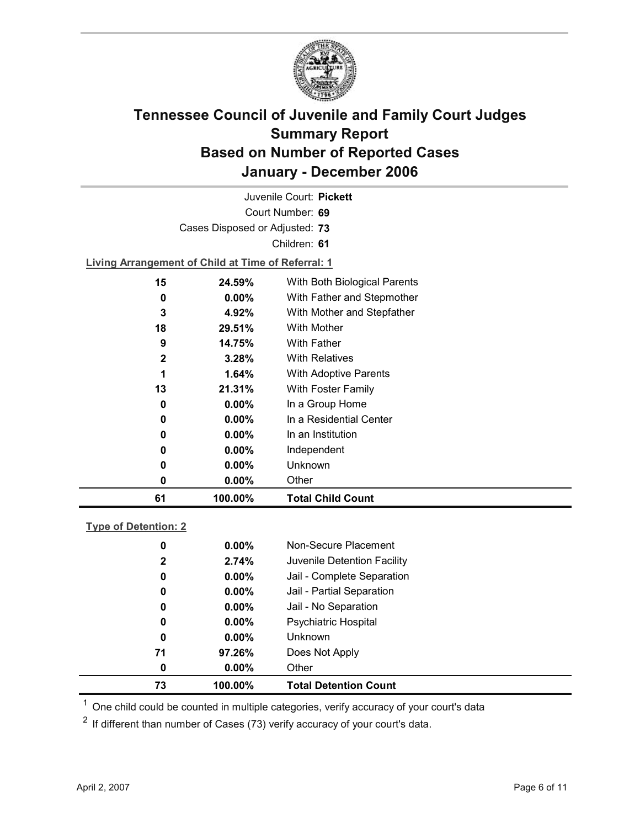

Court Number: **69** Juvenile Court: **Pickett** Cases Disposed or Adjusted: **73** Children: **61 Living Arrangement of Child at Time of Referral: 1 15 24.59%** With Both Biological Parents **0 0.00%** With Father and Stepmother **3 4.92%** With Mother and Stepfather **18 29.51%** With Mother **9 14.75%** With Father **2 3.28%** With Relatives **1 1.64%** With Adoptive Parents **13 21.31%** With Foster Family **0 0.00%** In a Group Home **0 0.00%** In a Residential Center **0 0.00%** In an Institution **0 0.00%** Independent

| 61 | 100.00%  | <b>Total Child Count</b> |
|----|----------|--------------------------|
| O  | $0.00\%$ | Other                    |
| 0  | $0.00\%$ | Unknown                  |

| ne of Detention: 2 |  |
|--------------------|--|
|                    |  |

| 73 | 100.00%               | <b>Total Detention Count</b> |
|----|-----------------------|------------------------------|
|    | $0.00\%$<br>0         | Other                        |
| 71 | 97.26%                | Does Not Apply               |
|    | $0.00\%$<br>0         | <b>Unknown</b>               |
|    | $0.00\%$<br>0         | <b>Psychiatric Hospital</b>  |
|    | $0.00\%$<br>0         | Jail - No Separation         |
|    | $0.00\%$<br>0         | Jail - Partial Separation    |
|    | $0.00\%$<br>0         | Jail - Complete Separation   |
|    | 2.74%<br>$\mathbf{2}$ | Juvenile Detention Facility  |
|    | $0.00\%$<br>0         | Non-Secure Placement         |
|    |                       |                              |

 $<sup>1</sup>$  One child could be counted in multiple categories, verify accuracy of your court's data</sup>

 $2$  If different than number of Cases (73) verify accuracy of your court's data.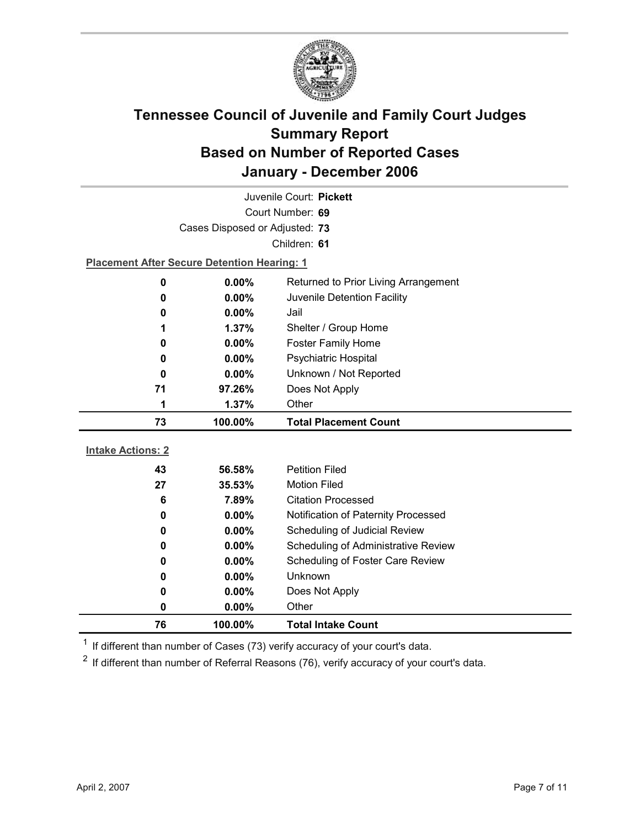

| Juvenile Court: Pickett                   |                                                    |                                     |  |  |
|-------------------------------------------|----------------------------------------------------|-------------------------------------|--|--|
| Court Number: 69                          |                                                    |                                     |  |  |
|                                           | Cases Disposed or Adjusted: 73                     |                                     |  |  |
|                                           |                                                    | Children: 61                        |  |  |
|                                           | <b>Placement After Secure Detention Hearing: 1</b> |                                     |  |  |
| 0                                         | 0.00%<br>Returned to Prior Living Arrangement      |                                     |  |  |
| 0.00%<br>Juvenile Detention Facility<br>0 |                                                    |                                     |  |  |
| 0                                         | $0.00\%$<br>Jail                                   |                                     |  |  |
| 1                                         | 1.37%                                              | Shelter / Group Home                |  |  |
| 0                                         | 0.00%                                              | Foster Family Home                  |  |  |
| 0                                         | 0.00%                                              | Psychiatric Hospital                |  |  |
| 0                                         | $0.00\%$                                           | Unknown / Not Reported              |  |  |
| 97.26%<br>71                              |                                                    | Does Not Apply                      |  |  |
| 1.37%<br>Other<br>1                       |                                                    |                                     |  |  |
|                                           |                                                    |                                     |  |  |
| 73                                        | 100.00%                                            | <b>Total Placement Count</b>        |  |  |
|                                           |                                                    |                                     |  |  |
| <b>Intake Actions: 2</b>                  |                                                    |                                     |  |  |
| 43                                        | 56.58%                                             | <b>Petition Filed</b>               |  |  |
| 27                                        | 35.53%                                             | <b>Motion Filed</b>                 |  |  |
| 6                                         | 7.89%                                              | <b>Citation Processed</b>           |  |  |
| 0                                         | $0.00\%$                                           | Notification of Paternity Processed |  |  |
| 0                                         | 0.00%                                              | Scheduling of Judicial Review       |  |  |
| 0                                         | 0.00%                                              | Scheduling of Administrative Review |  |  |
| 0                                         | $0.00\%$                                           | Scheduling of Foster Care Review    |  |  |
| 0                                         | 0.00%                                              | Unknown                             |  |  |
| 0                                         | $0.00\%$                                           | Does Not Apply                      |  |  |
| 0<br>76                                   | 0.00%<br>100.00%                                   | Other<br><b>Total Intake Count</b>  |  |  |

 $1$  If different than number of Cases (73) verify accuracy of your court's data.

 $2$  If different than number of Referral Reasons (76), verify accuracy of your court's data.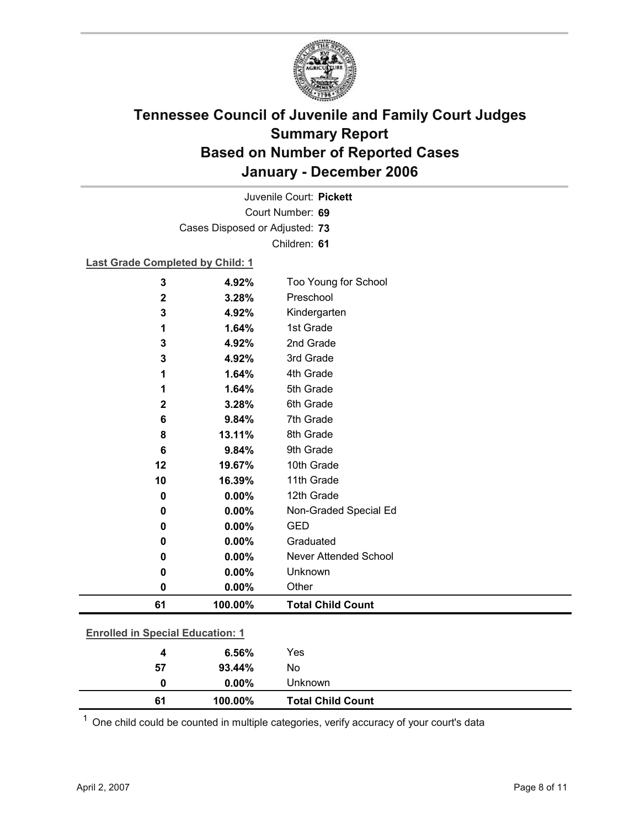

Court Number: **69** Juvenile Court: **Pickett** Cases Disposed or Adjusted: **73** Children: **61**

#### **Last Grade Completed by Child: 1**

| <b>Enrolled in Special Education: 1</b> |         |                          |
|-----------------------------------------|---------|--------------------------|
| 61                                      | 100.00% | <b>Total Child Count</b> |
| 0                                       | 0.00%   | Other                    |
| 0                                       | 0.00%   | Unknown                  |
| 0                                       | 0.00%   | Never Attended School    |
| 0                                       | 0.00%   | Graduated                |
| 0                                       | 0.00%   | <b>GED</b>               |
| 0                                       | 0.00%   | Non-Graded Special Ed    |
| 0                                       | 0.00%   | 12th Grade               |
| 10                                      | 16.39%  | 11th Grade               |
| 12                                      | 19.67%  | 10th Grade               |
| 6                                       | 9.84%   | 9th Grade                |
| 8                                       | 13.11%  | 8th Grade                |
| 6                                       | 9.84%   | 7th Grade                |
| $\mathbf{2}$                            | 3.28%   | 6th Grade                |
| 1                                       | 1.64%   | 5th Grade                |
| 1                                       | 1.64%   | 4th Grade                |
| 3                                       | 4.92%   | 3rd Grade                |
| 3                                       | 4.92%   | 2nd Grade                |
| 1                                       | 1.64%   | 1st Grade                |
| 3                                       | 4.92%   | Kindergarten             |
| $\mathbf 2$                             | 3.28%   | Preschool                |
| 3                                       | 4.92%   | Too Young for School     |

| 100.00%      | <b>Total Child Count</b> |
|--------------|--------------------------|
| $0.00\%$     |                          |
| No<br>93.44% |                          |
| Yes<br>6.56% |                          |
|              | Unknown                  |

 $1$  One child could be counted in multiple categories, verify accuracy of your court's data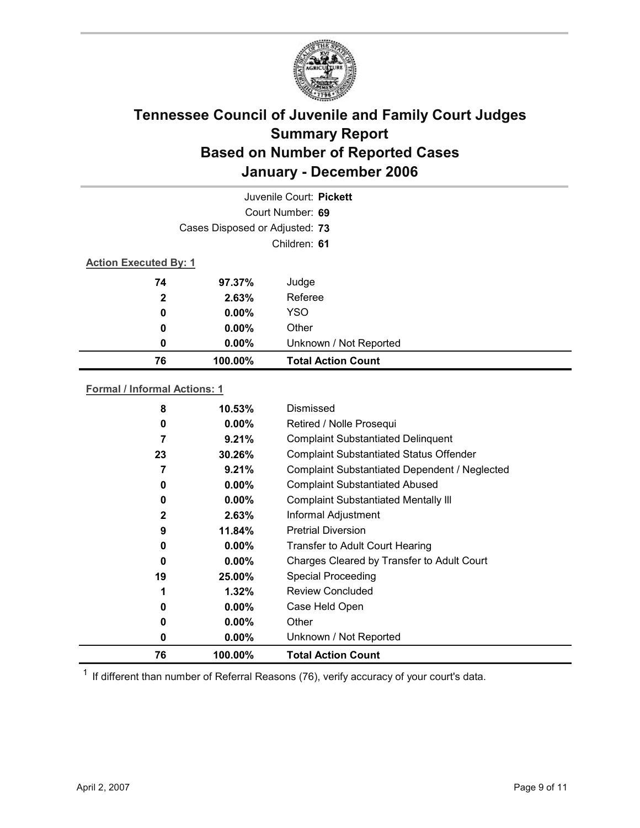

| Juvenile Court: Pickett      |                                |                           |  |  |  |
|------------------------------|--------------------------------|---------------------------|--|--|--|
|                              | Court Number: 69               |                           |  |  |  |
|                              | Cases Disposed or Adjusted: 73 |                           |  |  |  |
|                              |                                | Children: 61              |  |  |  |
| <b>Action Executed By: 1</b> |                                |                           |  |  |  |
| 74                           | 97.37%                         | Judge                     |  |  |  |
| $\mathbf{2}$                 | 2.63%                          | Referee                   |  |  |  |
| 0                            | $0.00\%$                       | <b>YSO</b>                |  |  |  |
| $\boldsymbol{0}$             | $0.00\%$                       | Other                     |  |  |  |
| 0                            | $0.00\%$                       | Unknown / Not Reported    |  |  |  |
| 76                           | 100.00%                        | <b>Total Action Count</b> |  |  |  |

#### **Formal / Informal Actions: 1**

| 8            | $10.53\%$ | Dismissed                                      |
|--------------|-----------|------------------------------------------------|
| 0            | $0.00\%$  | Retired / Nolle Prosequi                       |
| 7            | 9.21%     | <b>Complaint Substantiated Delinquent</b>      |
| 23           | 30.26%    | <b>Complaint Substantiated Status Offender</b> |
| 7            | 9.21%     | Complaint Substantiated Dependent / Neglected  |
| 0            | $0.00\%$  | <b>Complaint Substantiated Abused</b>          |
| 0            | $0.00\%$  | <b>Complaint Substantiated Mentally III</b>    |
| $\mathbf{2}$ | 2.63%     | Informal Adjustment                            |
| 9            | 11.84%    | <b>Pretrial Diversion</b>                      |
| 0            | $0.00\%$  | <b>Transfer to Adult Court Hearing</b>         |
| 0            | $0.00\%$  | Charges Cleared by Transfer to Adult Court     |
| 19           | 25.00%    | <b>Special Proceeding</b>                      |
| 1            | $1.32\%$  | Review Concluded                               |
| 0            | $0.00\%$  | Case Held Open                                 |
| 0            | $0.00\%$  | Other                                          |
| 0            | $0.00\%$  | Unknown / Not Reported                         |
| 76           | 100.00%   | <b>Total Action Count</b>                      |

 $1$  If different than number of Referral Reasons (76), verify accuracy of your court's data.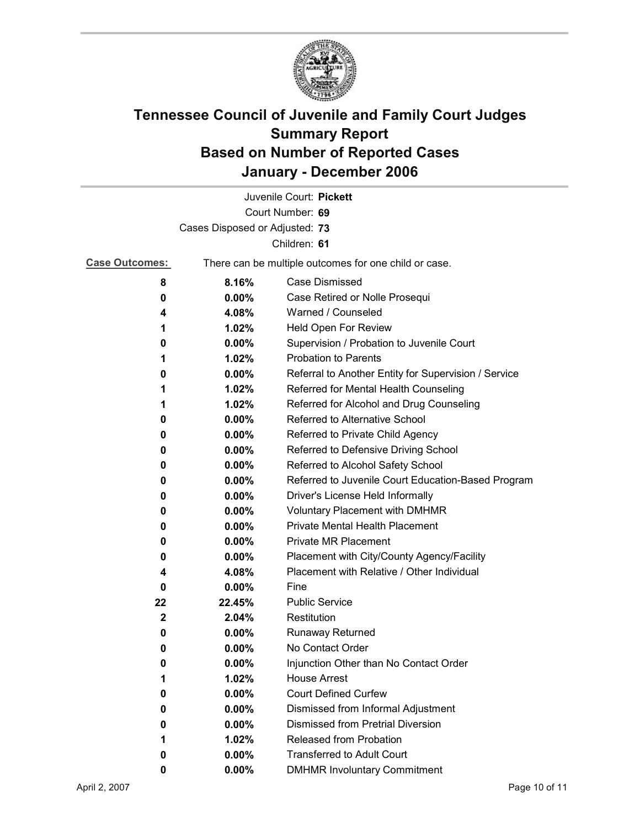

|                                |          | Juvenile Court: Pickett                               |  |  |  |
|--------------------------------|----------|-------------------------------------------------------|--|--|--|
|                                |          | Court Number: 69                                      |  |  |  |
| Cases Disposed or Adjusted: 73 |          |                                                       |  |  |  |
|                                |          | Children: 61                                          |  |  |  |
| <b>Case Outcomes:</b>          |          | There can be multiple outcomes for one child or case. |  |  |  |
| 8                              | 8.16%    | Case Dismissed                                        |  |  |  |
| 0                              | $0.00\%$ | Case Retired or Nolle Prosequi                        |  |  |  |
| 4                              | 4.08%    | Warned / Counseled                                    |  |  |  |
| 1                              | 1.02%    | Held Open For Review                                  |  |  |  |
| 0                              | $0.00\%$ | Supervision / Probation to Juvenile Court             |  |  |  |
| 1                              | 1.02%    | <b>Probation to Parents</b>                           |  |  |  |
| 0                              | $0.00\%$ | Referral to Another Entity for Supervision / Service  |  |  |  |
| 1                              | 1.02%    | Referred for Mental Health Counseling                 |  |  |  |
| 1                              | 1.02%    | Referred for Alcohol and Drug Counseling              |  |  |  |
| 0                              | 0.00%    | Referred to Alternative School                        |  |  |  |
| 0                              | $0.00\%$ | Referred to Private Child Agency                      |  |  |  |
| 0                              | $0.00\%$ | Referred to Defensive Driving School                  |  |  |  |
| 0                              | 0.00%    | Referred to Alcohol Safety School                     |  |  |  |
| 0                              | 0.00%    | Referred to Juvenile Court Education-Based Program    |  |  |  |
| 0                              | $0.00\%$ | Driver's License Held Informally                      |  |  |  |
| 0                              | $0.00\%$ | <b>Voluntary Placement with DMHMR</b>                 |  |  |  |
| 0                              | $0.00\%$ | <b>Private Mental Health Placement</b>                |  |  |  |
| 0                              | $0.00\%$ | <b>Private MR Placement</b>                           |  |  |  |
| 0                              | $0.00\%$ | Placement with City/County Agency/Facility            |  |  |  |
| 4                              | 4.08%    | Placement with Relative / Other Individual            |  |  |  |
| 0                              | $0.00\%$ | Fine                                                  |  |  |  |
| 22                             | 22.45%   | <b>Public Service</b>                                 |  |  |  |
| $\mathbf{2}$                   | 2.04%    | Restitution                                           |  |  |  |
| 0                              | $0.00\%$ | <b>Runaway Returned</b>                               |  |  |  |
| 0                              | $0.00\%$ | No Contact Order                                      |  |  |  |
| 0                              | $0.00\%$ | Injunction Other than No Contact Order                |  |  |  |
| 1                              | 1.02%    | <b>House Arrest</b>                                   |  |  |  |
| 0                              | 0.00%    | <b>Court Defined Curfew</b>                           |  |  |  |
| 0                              | 0.00%    | Dismissed from Informal Adjustment                    |  |  |  |
| 0                              | 0.00%    | <b>Dismissed from Pretrial Diversion</b>              |  |  |  |
| 1                              | 1.02%    | Released from Probation                               |  |  |  |
| 0                              | 0.00%    | <b>Transferred to Adult Court</b>                     |  |  |  |
| 0                              | 0.00%    | <b>DMHMR Involuntary Commitment</b>                   |  |  |  |